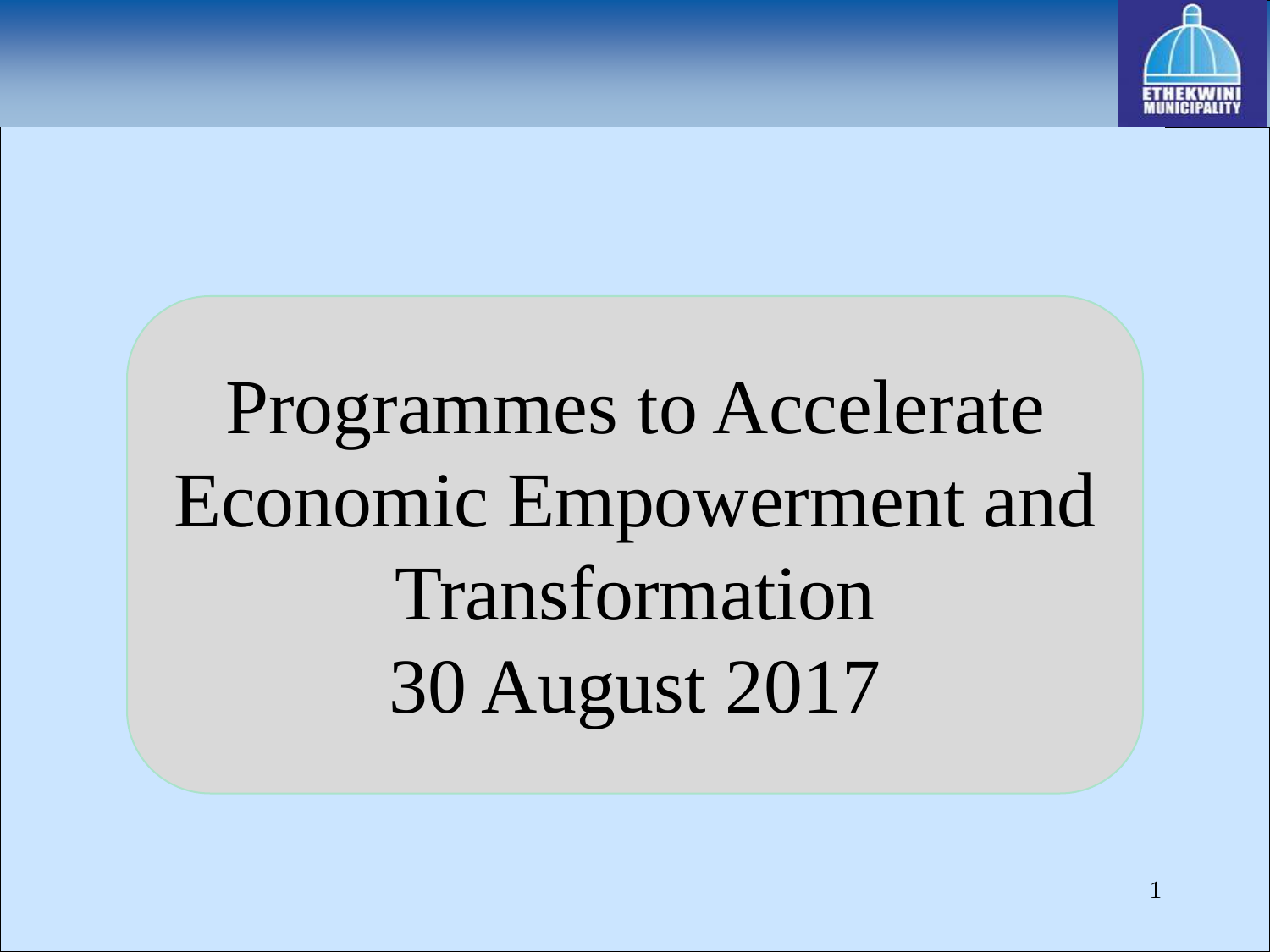

# Programmes to Accelerate Economic Empowerment and Transformation 30 August 2017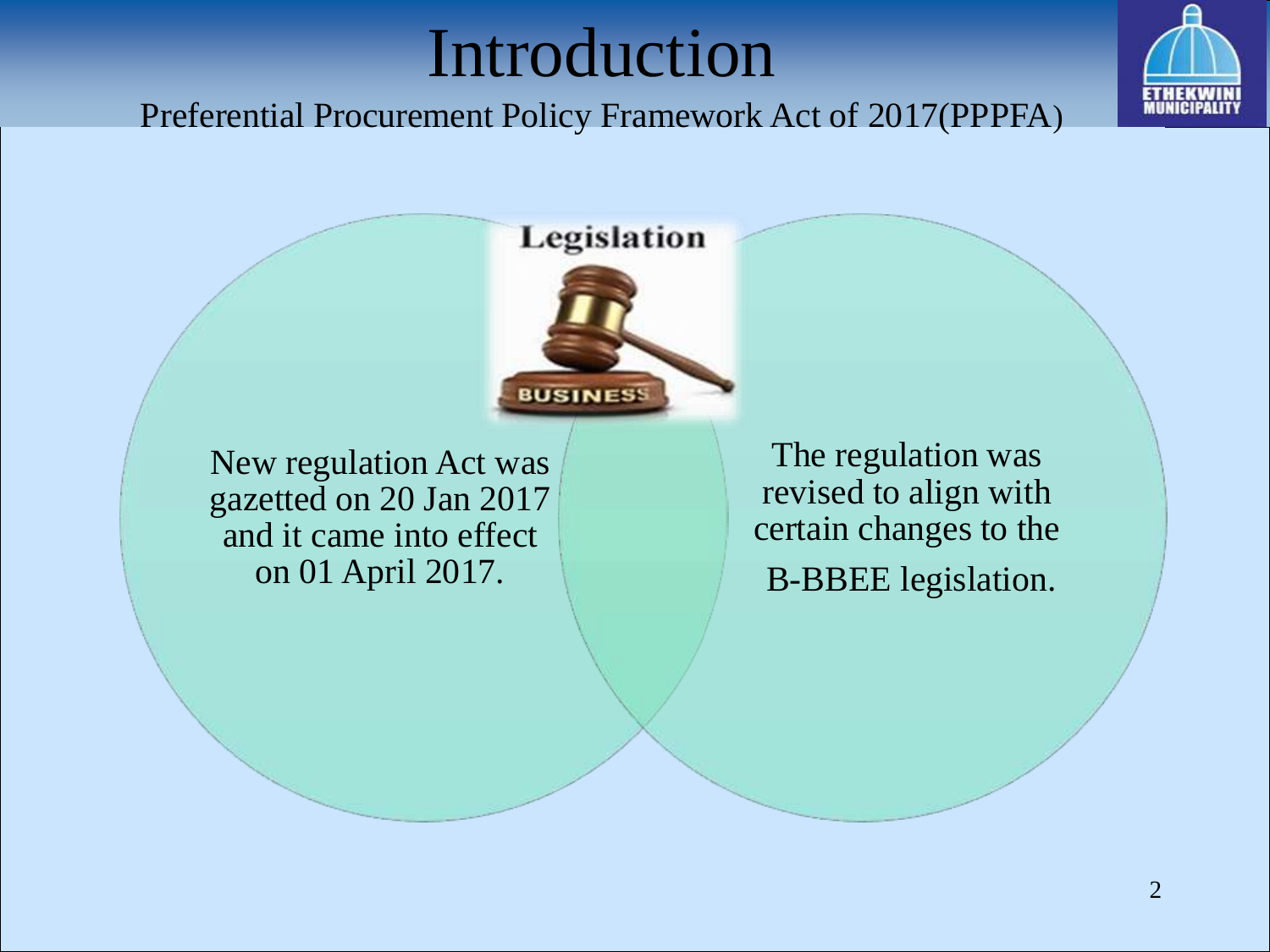#### Introduction



Preferential Procurement Policy Framework Act of 2017(PPPFA)

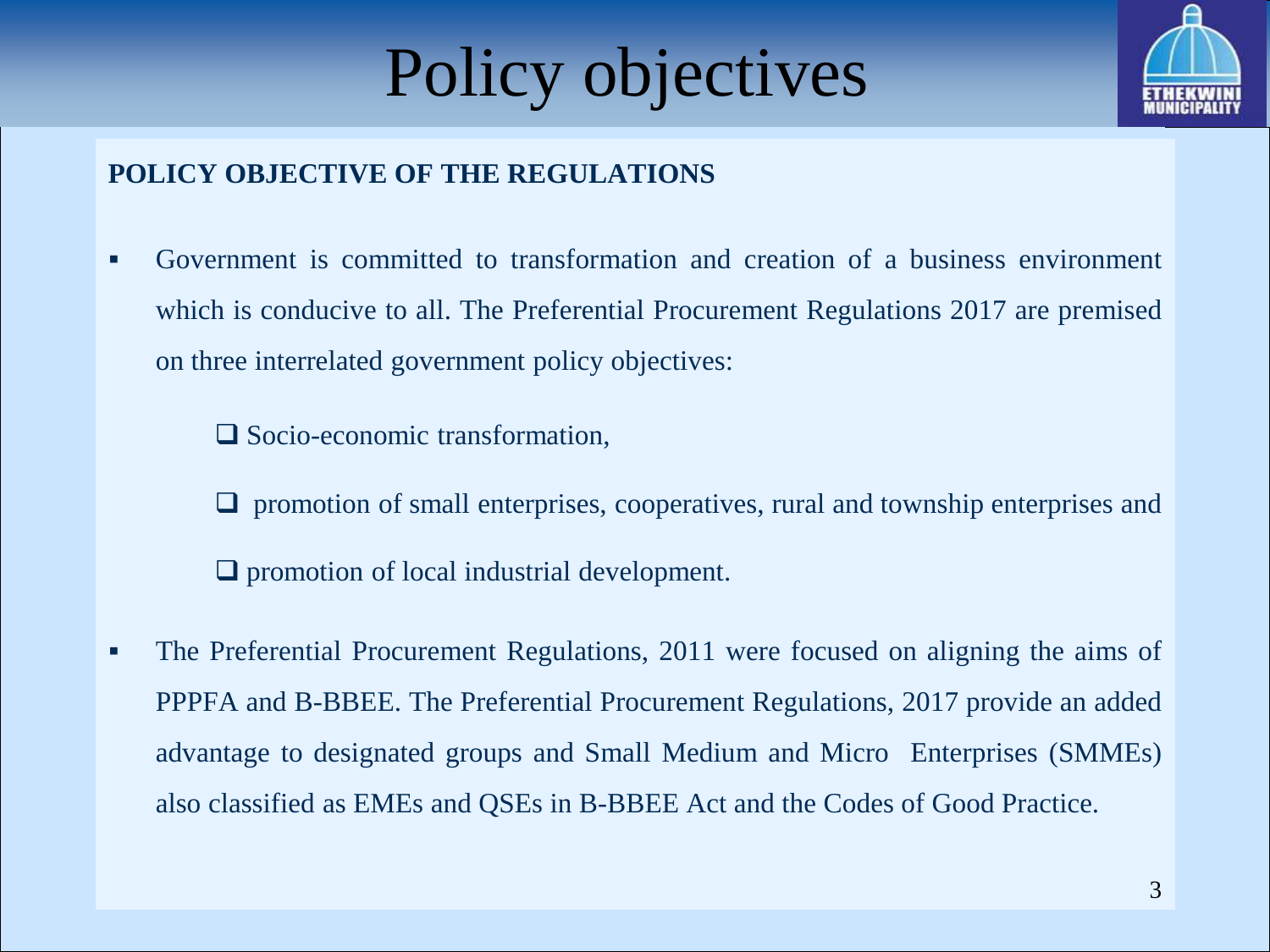



#### **POLICY OBJECTIVE OF THE REGULATIONS**

 Government is committed to transformation and creation of a business environment which is conducive to all. The Preferential Procurement Regulations 2017 are premised on three interrelated government policy objectives:

□ Socio-economic transformation,

 $\Box$  promotion of small enterprises, cooperatives, rural and township enterprises and  $\Box$  promotion of local industrial development.

 The Preferential Procurement Regulations, 2011 were focused on aligning the aims of PPPFA and B-BBEE. The Preferential Procurement Regulations, 2017 provide an added advantage to designated groups and Small Medium and Micro Enterprises (SMMEs) also classified as EMEs and QSEs in B-BBEE Act and the Codes of Good Practice.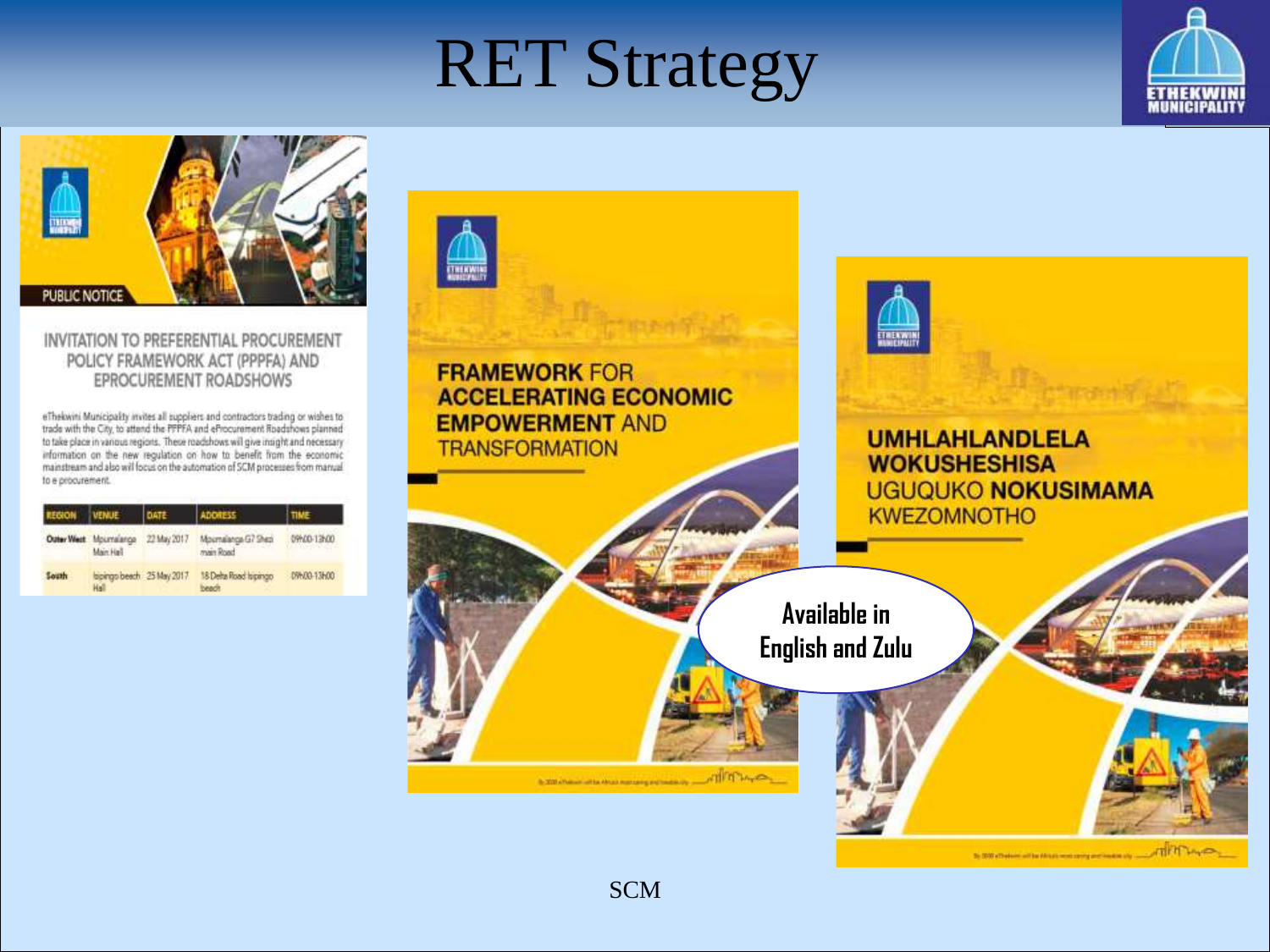### **RET Strategy**

THENWI





#### INVITATION TO PREFERENTIAL PROCUREMENT POLICY FRAMEWORK ACT (PPPFA) AND EPROCUREMENT ROADSHOWS

eThekwini Municipality invites all suppliers and contractors trading or wishes to trade with the City, to attend the PPPFA and eProcurement Roadshows planned to take place in various regions. These roadshows will give insight and necessary information on the new regulation on how to benefit from the economic mainstream and also will focus on the automation of SCM processes from manual to e procurement.

| <b>REGION</b> | <b>VENUE</b>                        |             | <b>ADORESS</b>                  |                                 |
|---------------|-------------------------------------|-------------|---------------------------------|---------------------------------|
|               | Outer West Mournalanga<br>Main Hall | 22 May 2017 | Moumalanga G7 Shep<br>main Road | 09N00-13N00<br><b>FRANCISCO</b> |
| South         | bpings beach 25 May 2017.<br>Hall   |             | 18 Delta Road Ispango<br>beach  | 09600-13600                     |

#### **IRENA FRAMEWORK FOR ACCELERATING ECONOMIC EMPOWERMENT AND UMHLAHLANDLELA TRANSFORMATION WOKUSHESHISA UGUQUKO NOKUSIMAMA KWEZOMNOTHO Available in English and Zulu** the 2000 a Postman will be Africa's most carried and forestim

16 000 x final competition (Minute meeting and model)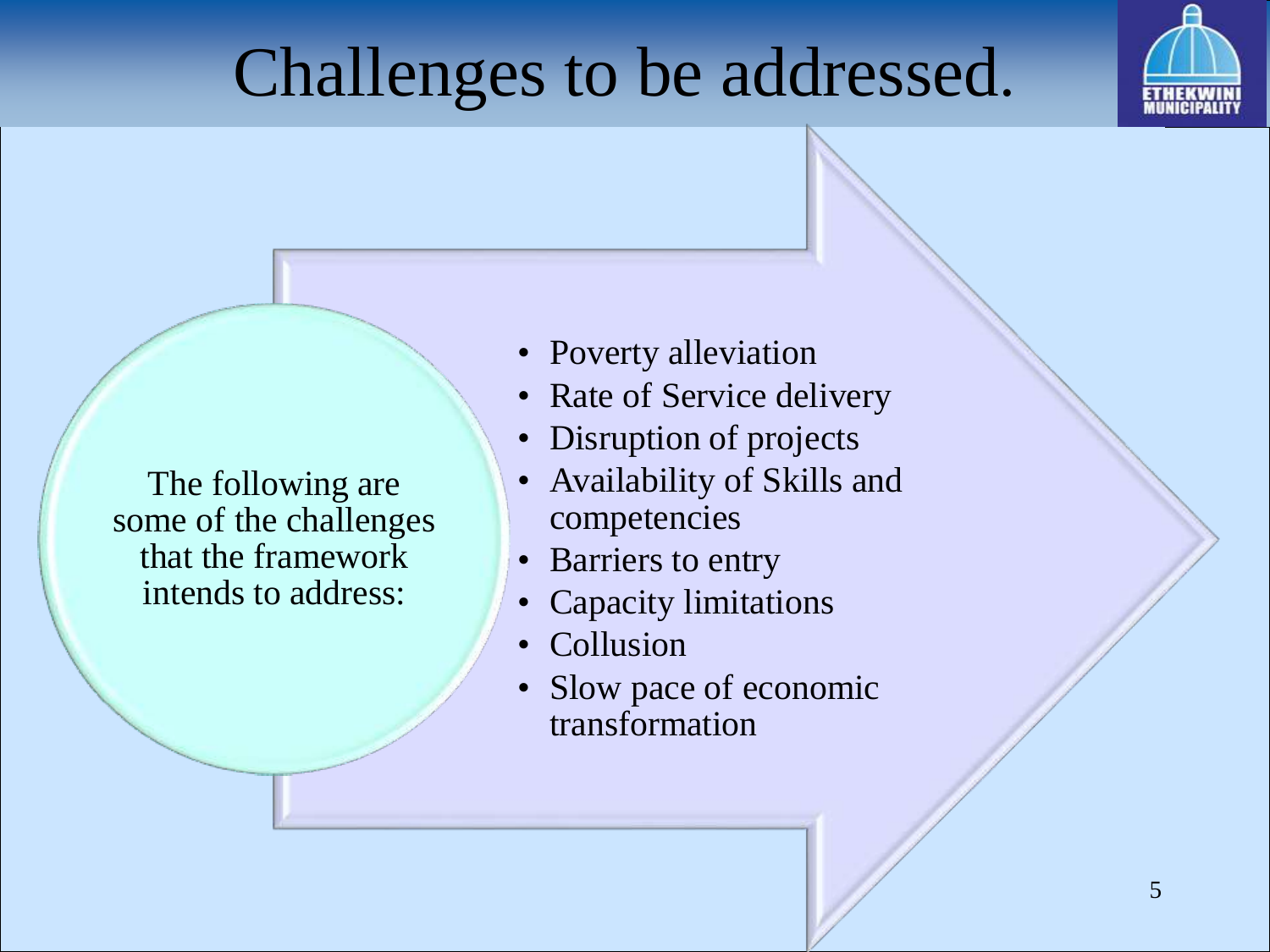# Challenges to be addressed.



The following are some of the challenges that the framework intends to address:

- Poverty alleviation
- Rate of Service delivery
- Disruption of projects
- Availability of Skills and competencies
- Barriers to entry
- Capacity limitations
- Collusion
- Slow pace of economic transformation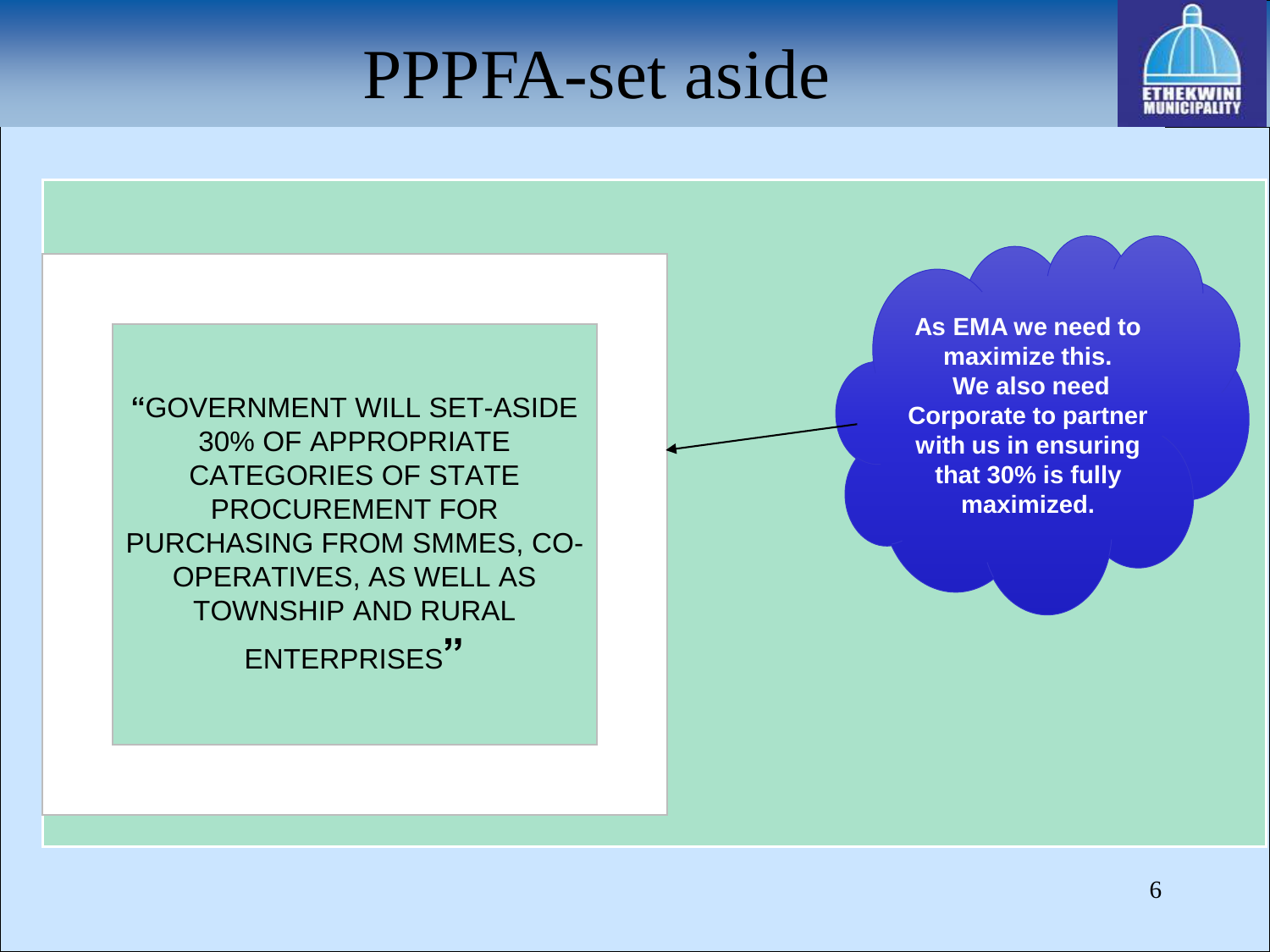#### PPPFA-set aside



**"**GOVERNMENT WILL SET-ASIDE 30% OF APPROPRIATE CATEGORIES OF STATE PROCUREMENT FOR PURCHASING FROM SMMES, CO-OPERATIVES, AS WELL AS TOWNSHIP AND RURAL ENTERPRISES**"**

**As EMA we need to maximize this. We also need Corporate to partner with us in ensuring that 30% is fully maximized.**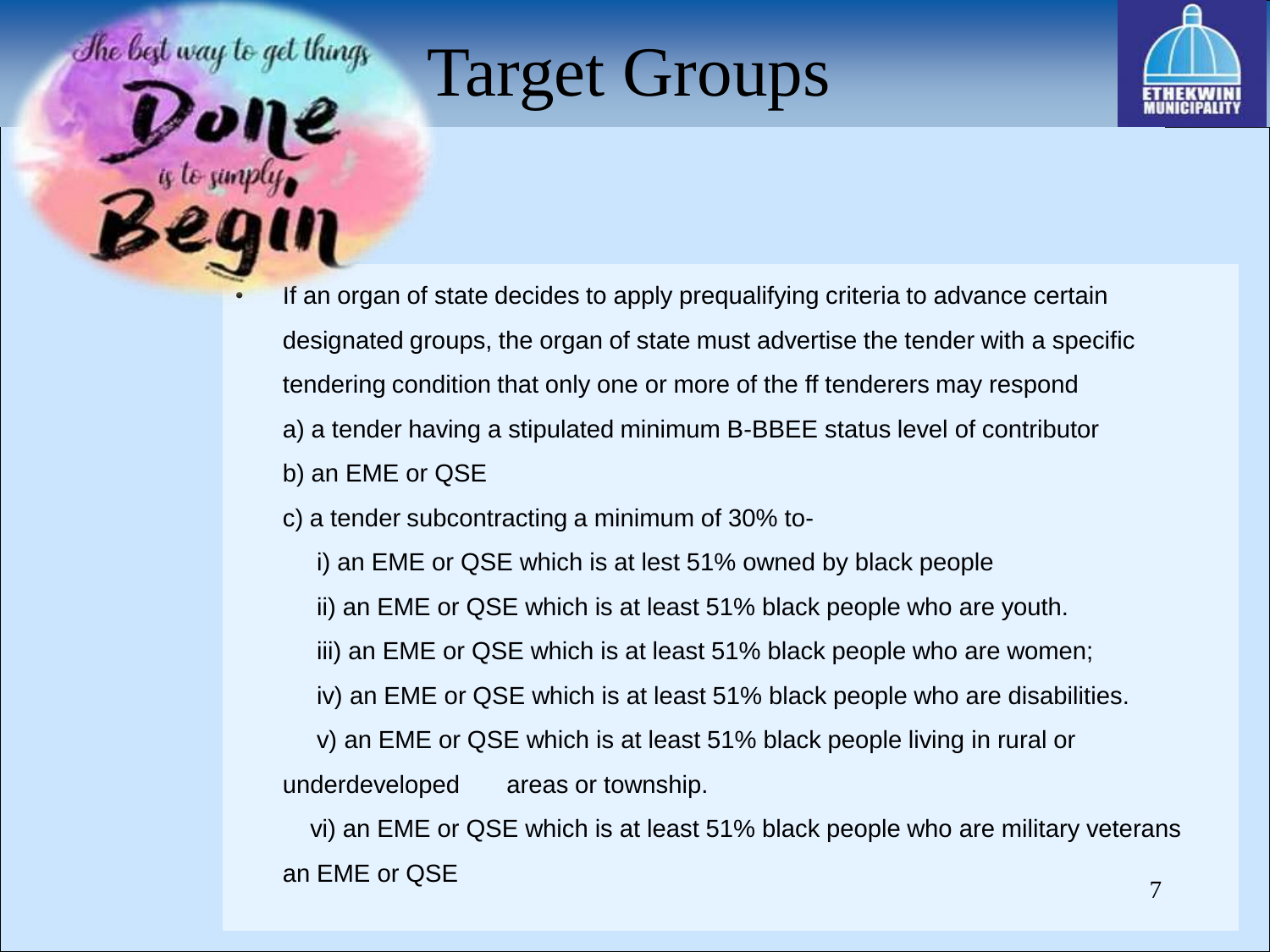# The best way to get things

# Target Groups



- If an organ of state decides to apply prequalifying criteria to advance certain designated groups, the organ of state must advertise the tender with a specific tendering condition that only one or more of the ff tenderers may respond a) a tender having a stipulated minimum B-BBEE status level of contributor
	- b) an EME or QSE
	- c) a tender subcontracting a minimum of 30% to
		- i) an EME or QSE which is at lest 51% owned by black people
		- ii) an EME or QSE which is at least 51% black people who are youth.
		- iii) an EME or QSE which is at least 51% black people who are women;
		- iv) an EME or QSE which is at least 51% black people who are disabilities.
		- v) an EME or QSE which is at least 51% black people living in rural or

underdeveloped areas or township.

vi) an EME or QSE which is at least 51% black people who are military veterans an EME or QSE  $\overline{7}$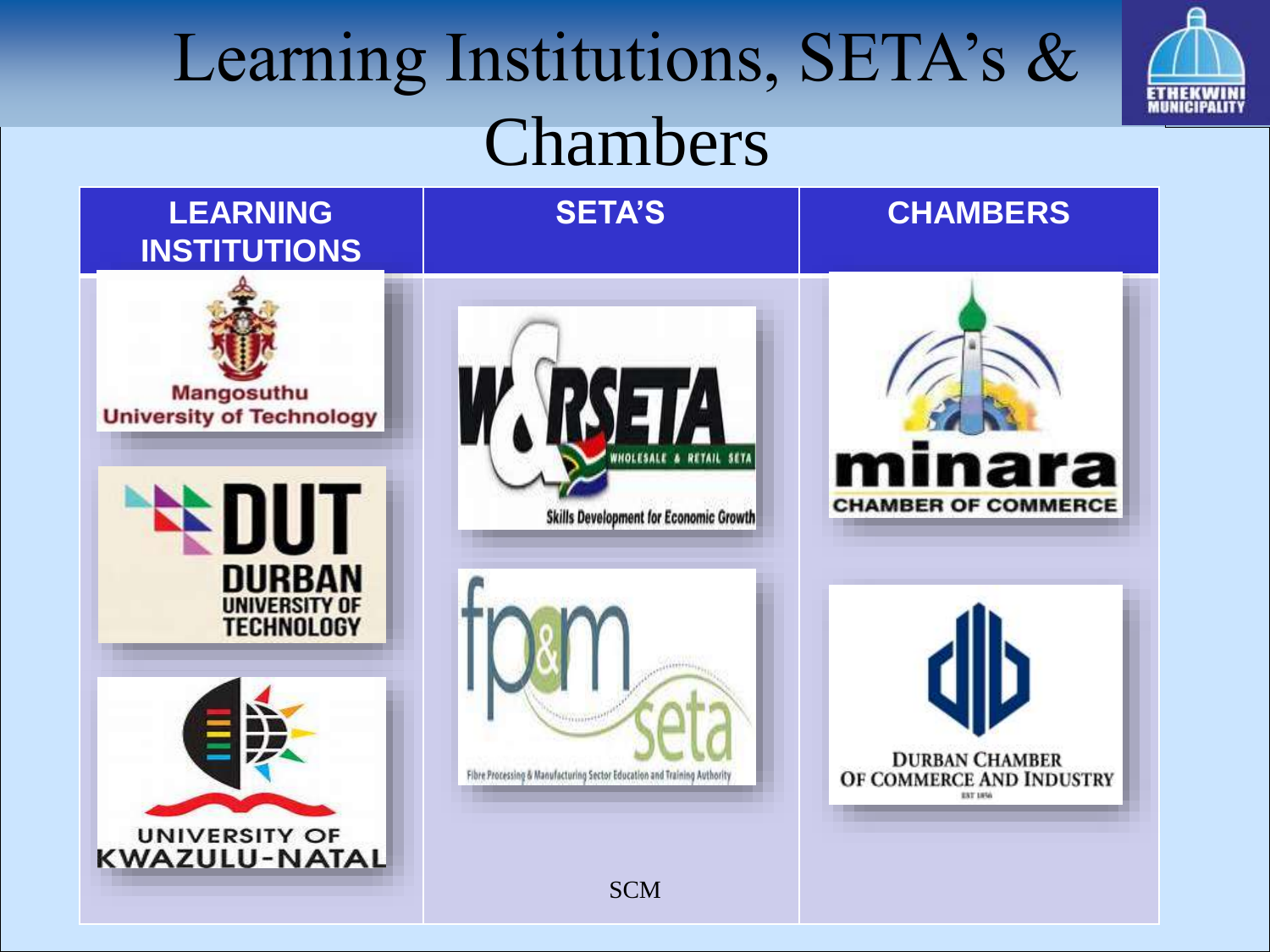# Learning Institutions, SETA's & Chambers



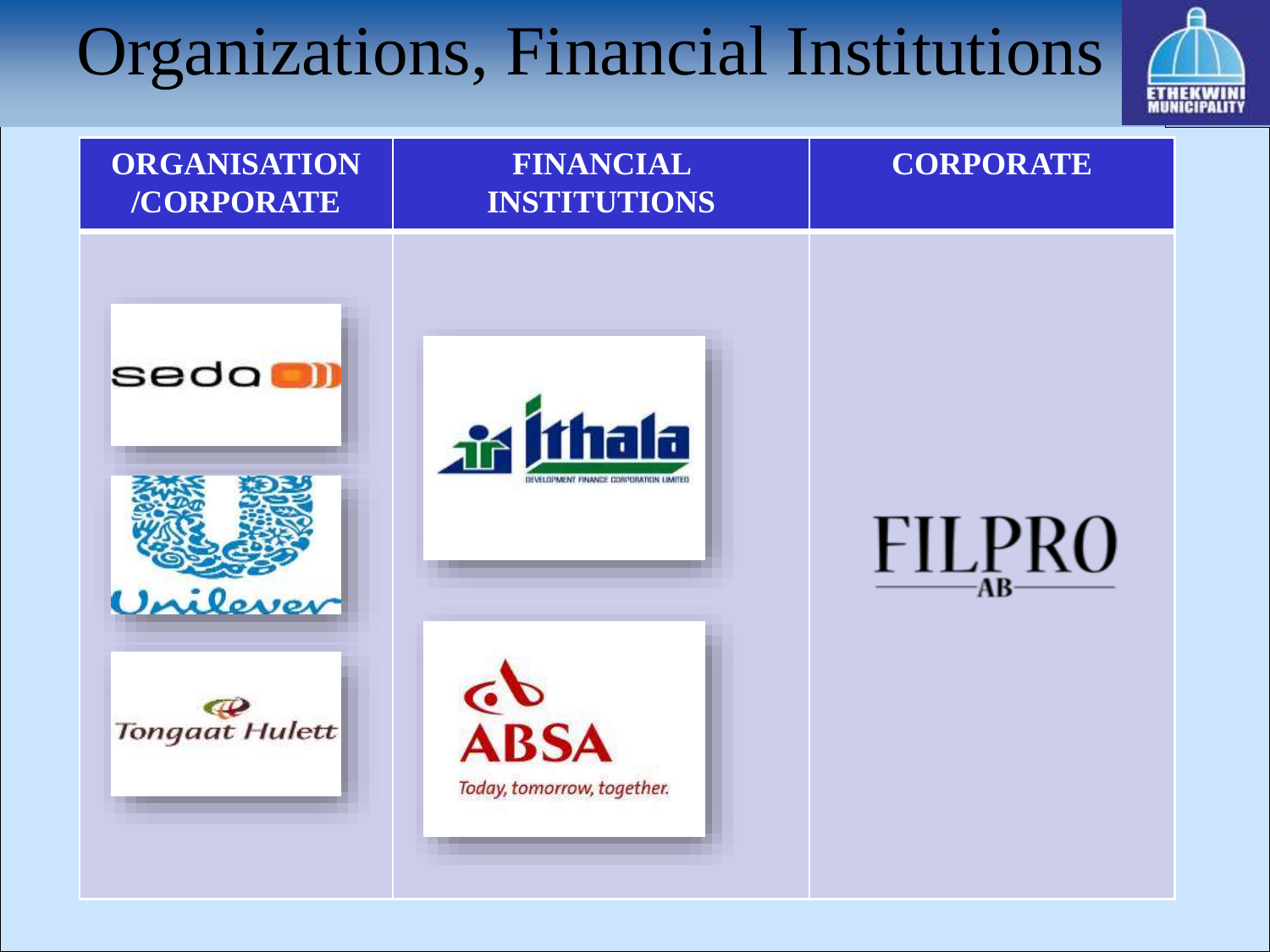# Organizations, Financial Institutions



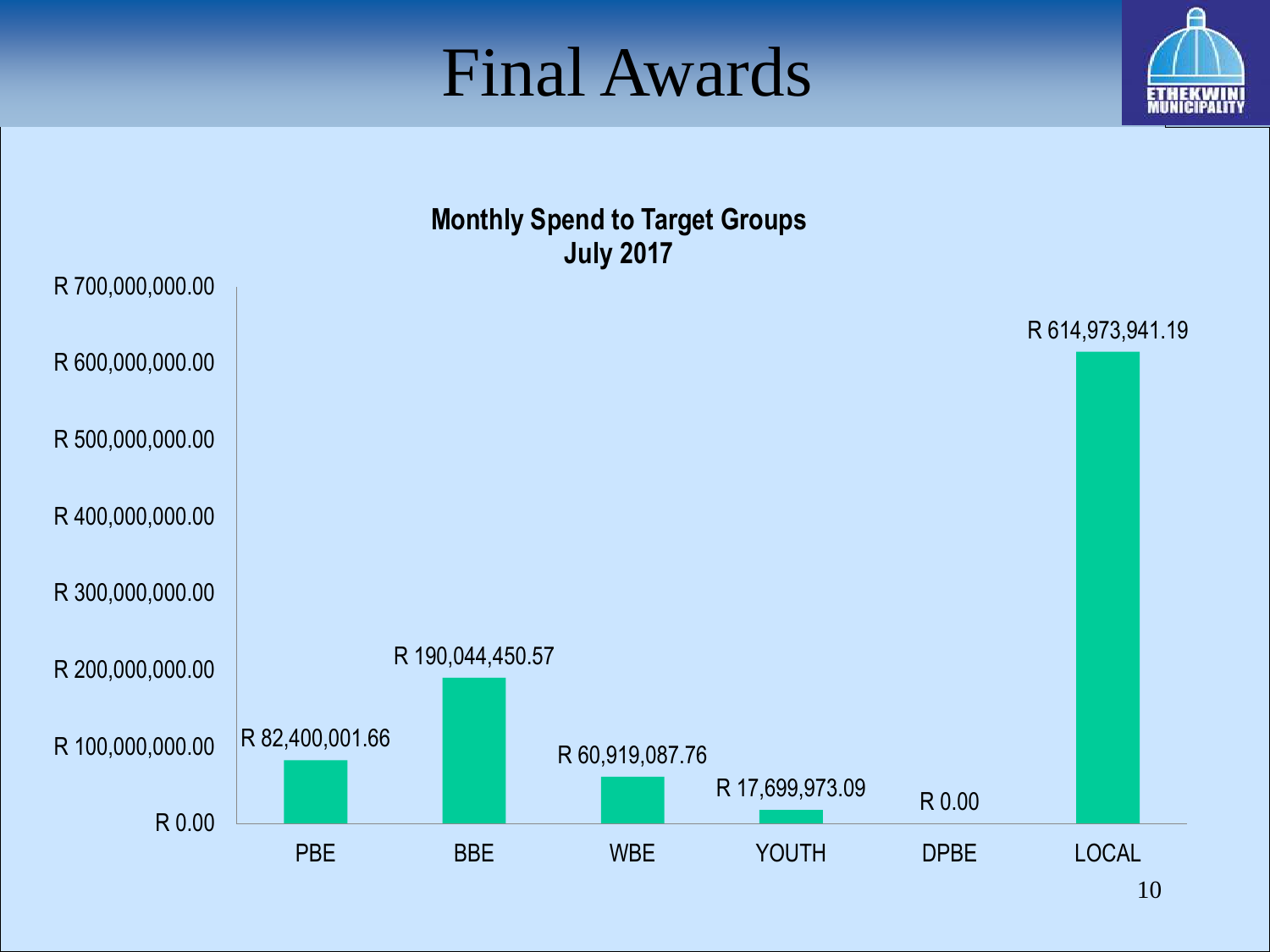#### Final Awards



**Monthly Spend to Target Groups July 2017**

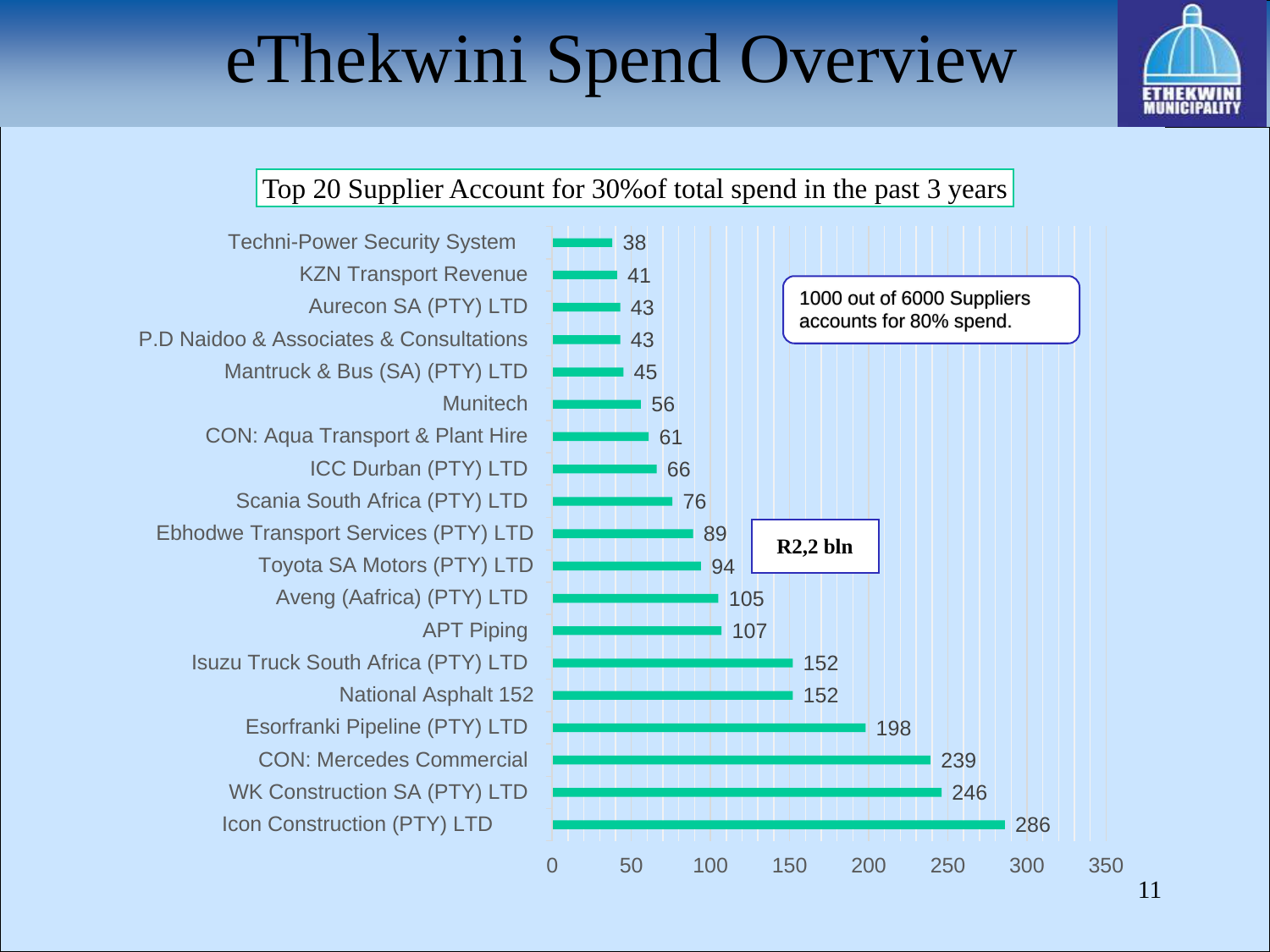# eThekwini Spend Overview

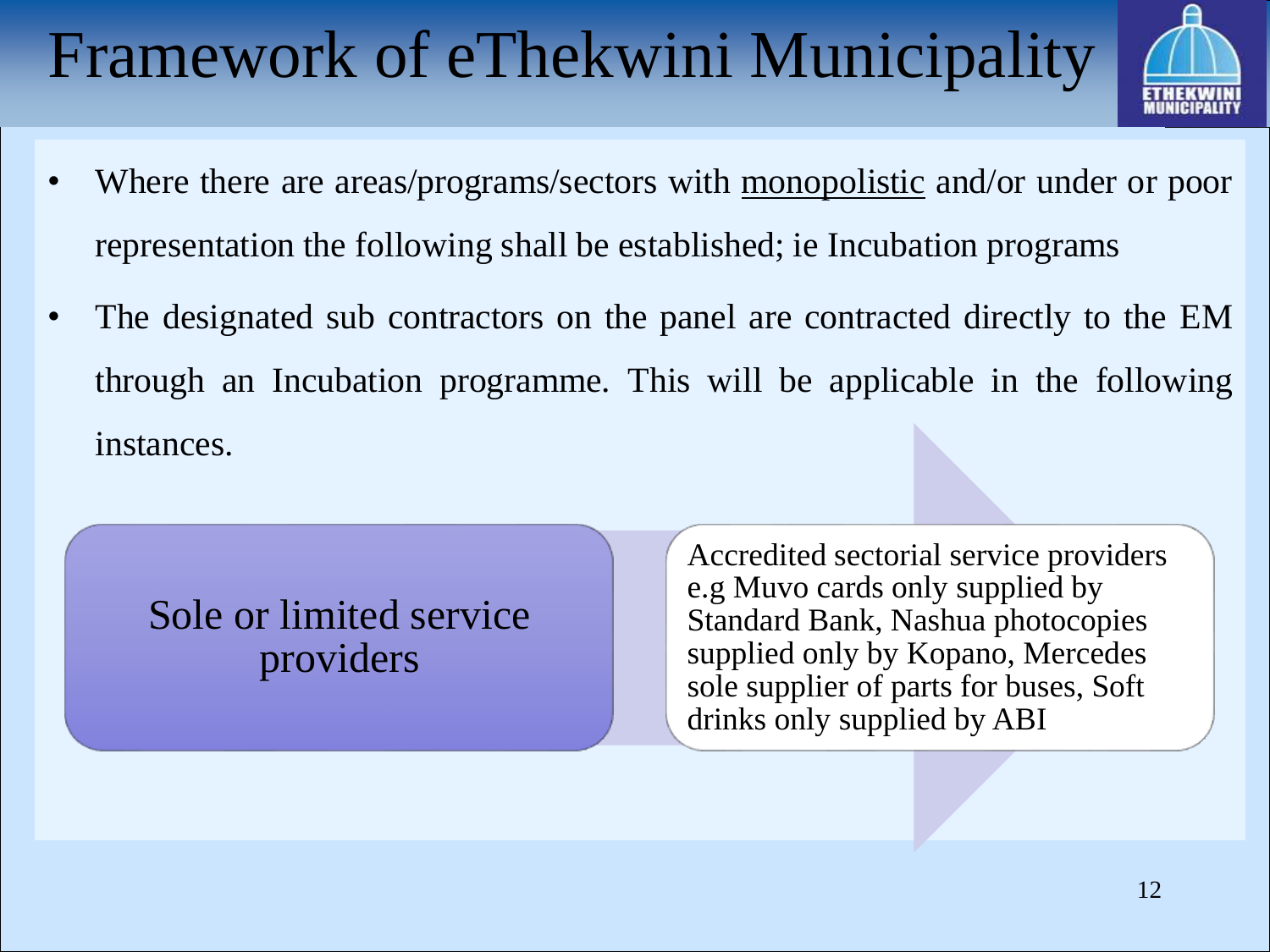# Framework of eThekwini Municipality



- Where there are areas/programs/sectors with <u>monopolistic</u> and/or under or poor representation the following shall be established; ie Incubation programs
- The designated sub contractors on the panel are contracted directly to the EM through an Incubation programme. This will be applicable in the following instances.

Sole or limited service providers

Accredited sectorial service providers e.g Muvo cards only supplied by Standard Bank, Nashua photocopies supplied only by Kopano, Mercedes sole supplier of parts for buses, Soft drinks only supplied by ABI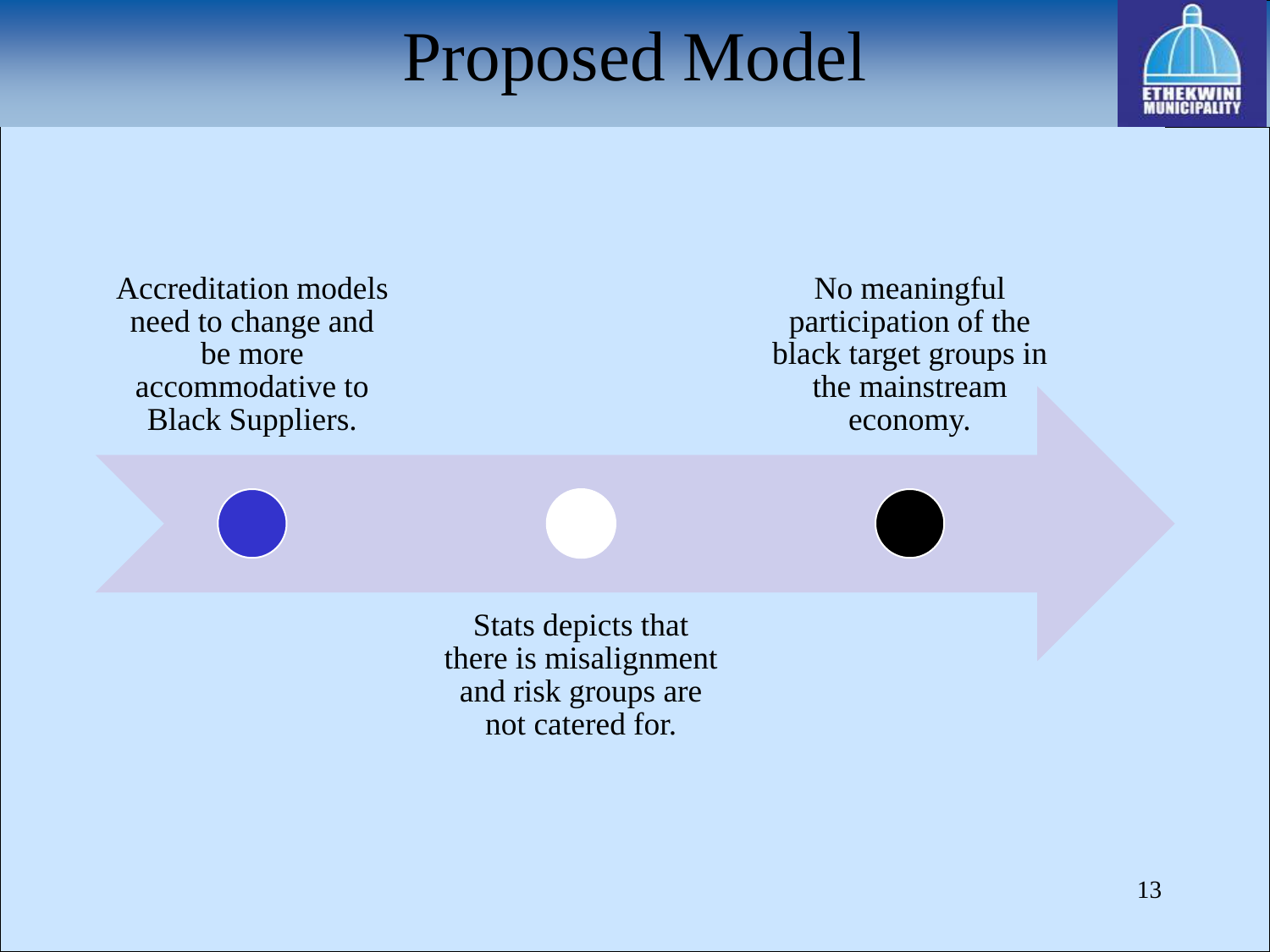### Proposed Model



Accreditation models need to change and be more accommodative to Black Suppliers.

No meaningful participation of the black target groups in the mainstream economy.

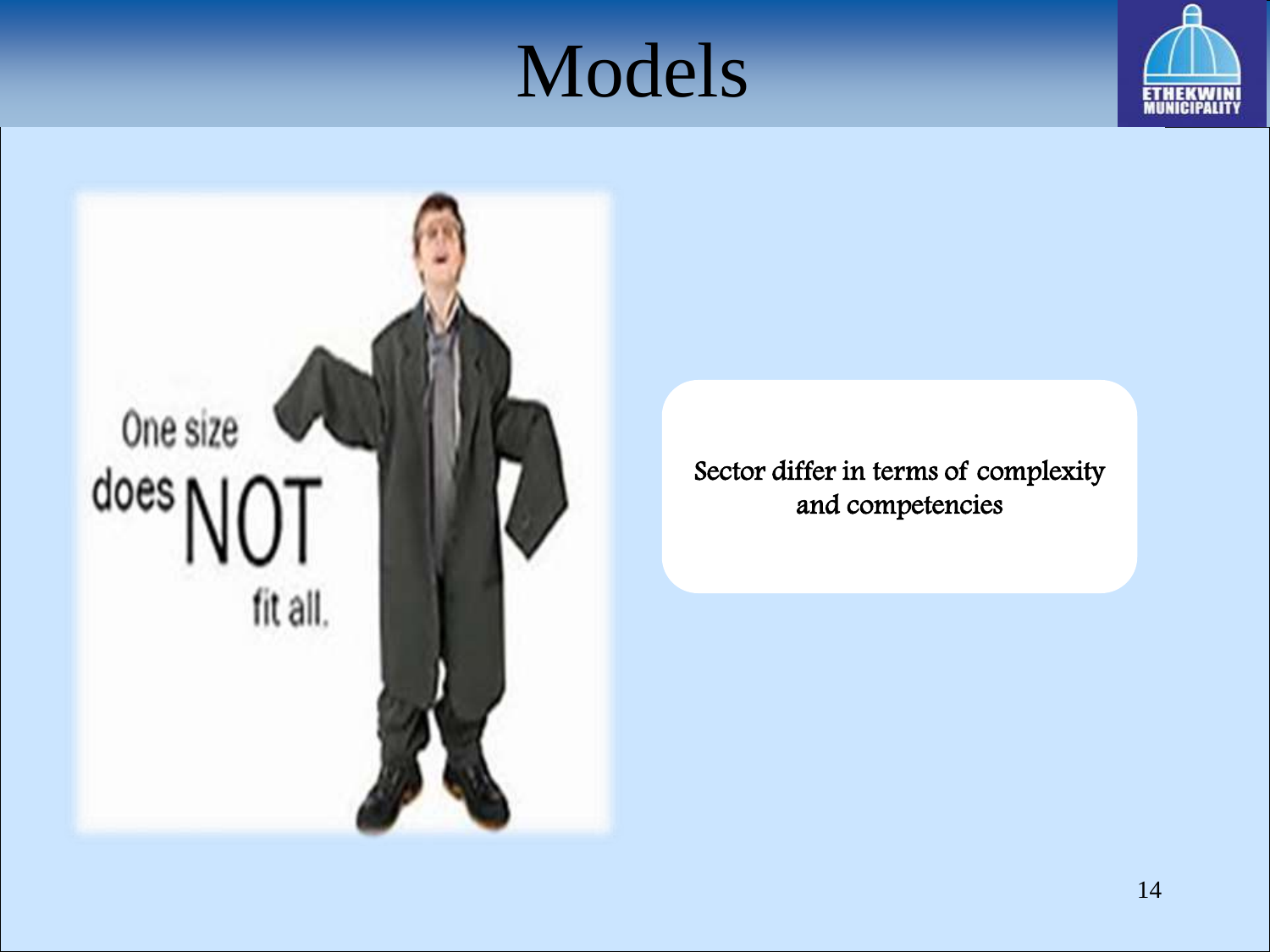# Models





Sector differ in terms of complexity and competencies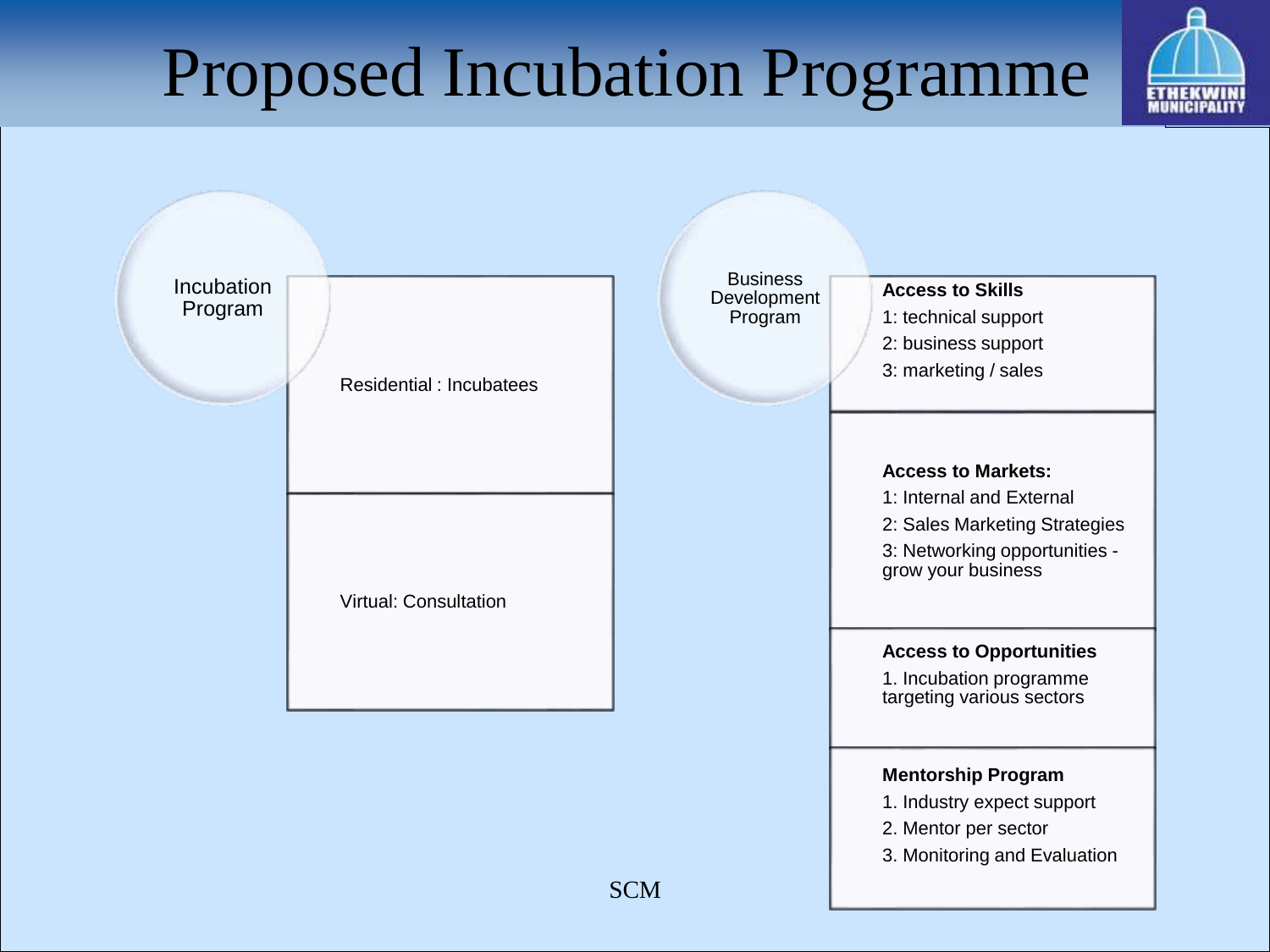# Proposed Incubation Programme



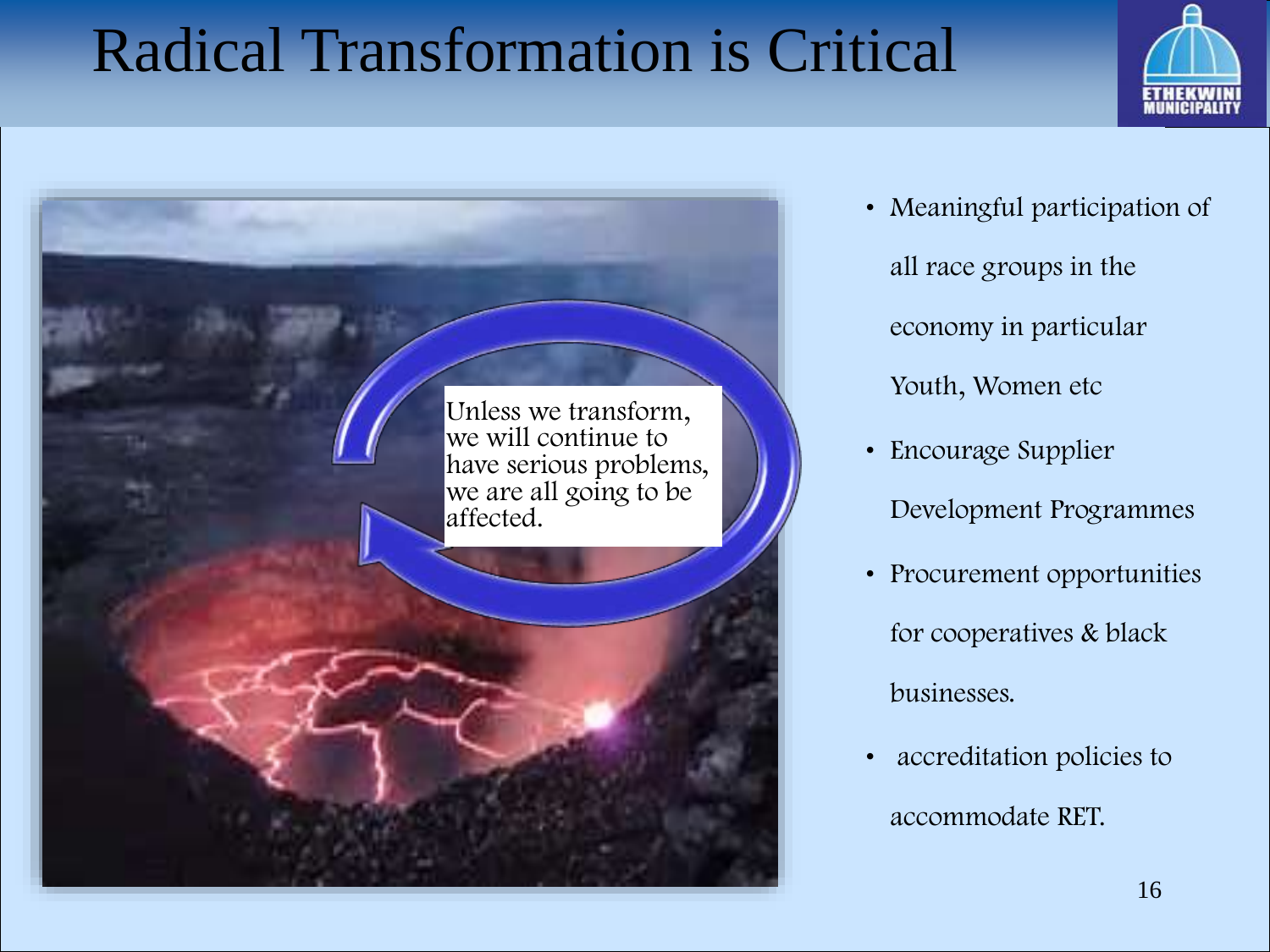#### Radical Transformation is Critical





- Meaningful participation of all race groups in the economy in particular Youth, Women etc
- Encourage Supplier Development Programmes
- Procurement opportunities for cooperatives & black businesses.
- accreditation policies to accommodate RET.